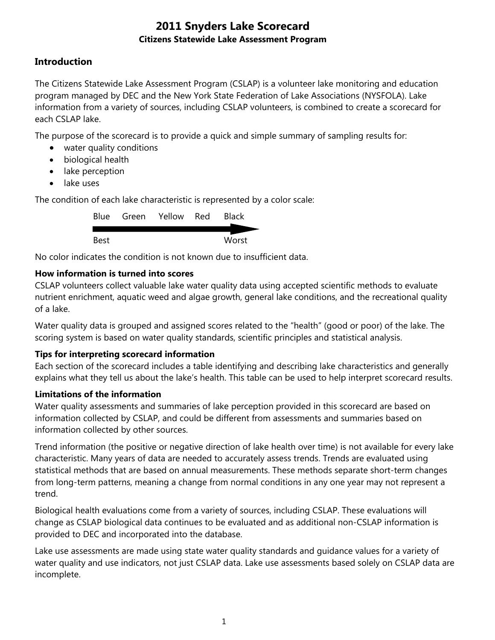# **Introduction**

The Citizens Statewide Lake Assessment Program (CSLAP) is a volunteer lake monitoring and education program managed by DEC and the New York State Federation of Lake Associations (NYSFOLA). Lake information from a variety of sources, including CSLAP volunteers, is combined to create a scorecard for each CSLAP lake.

The purpose of the scorecard is to provide a quick and simple summary of sampling results for:

- water quality conditions
- biological health
- lake perception
- lake uses

The condition of each lake characteristic is represented by a color scale:

|      | Blue Green Yellow Red | <b>Black</b> |
|------|-----------------------|--------------|
| Best |                       | Worst        |

No color indicates the condition is not known due to insufficient data.

## **How information is turned into scores**

CSLAP volunteers collect valuable lake water quality data using accepted scientific methods to evaluate nutrient enrichment, aquatic weed and algae growth, general lake conditions, and the recreational quality of a lake.

Water quality data is grouped and assigned scores related to the "health" (good or poor) of the lake. The scoring system is based on water quality standards, scientific principles and statistical analysis.

## **Tips for interpreting scorecard information**

Each section of the scorecard includes a table identifying and describing lake characteristics and generally explains what they tell us about the lake's health. This table can be used to help interpret scorecard results.

#### **Limitations of the information**

Water quality assessments and summaries of lake perception provided in this scorecard are based on information collected by CSLAP, and could be different from assessments and summaries based on information collected by other sources.

Trend information (the positive or negative direction of lake health over time) is not available for every lake characteristic. Many years of data are needed to accurately assess trends. Trends are evaluated using statistical methods that are based on annual measurements. These methods separate short-term changes from long-term patterns, meaning a change from normal conditions in any one year may not represent a trend.

Biological health evaluations come from a variety of sources, including CSLAP. These evaluations will change as CSLAP biological data continues to be evaluated and as additional non-CSLAP information is provided to DEC and incorporated into the database.

Lake use assessments are made using state water quality standards and guidance values for a variety of water quality and use indicators, not just CSLAP data. Lake use assessments based solely on CSLAP data are incomplete.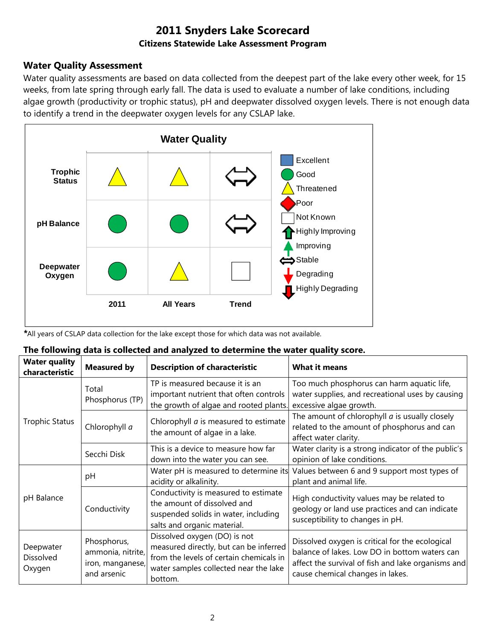### **Water Quality Assessment**

Water quality assessments are based on data collected from the deepest part of the lake every other week, for 15 weeks, from late spring through early fall. The data is used to evaluate a number of lake conditions, including algae growth (productivity or trophic status), pH and deepwater dissolved oxygen levels. There is not enough data to identify a trend in the deepwater oxygen levels for any CSLAP lake.



*\**All years of CSLAP data collection for the lake except those for which data was not available.

#### **The following data is collected and analyzed to determine the water quality score.**

| <b>Water quality</b><br>characteristic | <b>Measured by</b>                                                  | <b>Description of characteristic</b>                                                                                                                                  | <b>What it means</b>                                                                                                                                                                       |  |
|----------------------------------------|---------------------------------------------------------------------|-----------------------------------------------------------------------------------------------------------------------------------------------------------------------|--------------------------------------------------------------------------------------------------------------------------------------------------------------------------------------------|--|
|                                        | Total<br>Phosphorus (TP)                                            | TP is measured because it is an<br>important nutrient that often controls<br>the growth of algae and rooted plants.                                                   | Too much phosphorus can harm aquatic life,<br>water supplies, and recreational uses by causing<br>excessive algae growth.                                                                  |  |
| <b>Trophic Status</b>                  | Chlorophyll a                                                       | Chlorophyll <i>a</i> is measured to estimate<br>the amount of algae in a lake.                                                                                        | The amount of chlorophyll $a$ is usually closely<br>related to the amount of phosphorus and can<br>affect water clarity.                                                                   |  |
|                                        | Secchi Disk                                                         | This is a device to measure how far<br>down into the water you can see.                                                                                               | Water clarity is a strong indicator of the public's<br>opinion of lake conditions.                                                                                                         |  |
|                                        | рH                                                                  | Water pH is measured to determine its<br>acidity or alkalinity.                                                                                                       | Values between 6 and 9 support most types of<br>plant and animal life.                                                                                                                     |  |
| pH Balance                             | Conductivity                                                        | Conductivity is measured to estimate<br>the amount of dissolved and<br>suspended solids in water, including<br>salts and organic material.                            | High conductivity values may be related to<br>geology or land use practices and can indicate<br>susceptibility to changes in pH.                                                           |  |
| Deepwater<br>Dissolved<br>Oxygen       | Phosphorus,<br>ammonia, nitrite,<br>iron, manganese,<br>and arsenic | Dissolved oxygen (DO) is not<br>measured directly, but can be inferred<br>from the levels of certain chemicals in<br>water samples collected near the lake<br>bottom. | Dissolved oxygen is critical for the ecological<br>balance of lakes. Low DO in bottom waters can<br>affect the survival of fish and lake organisms and<br>cause chemical changes in lakes. |  |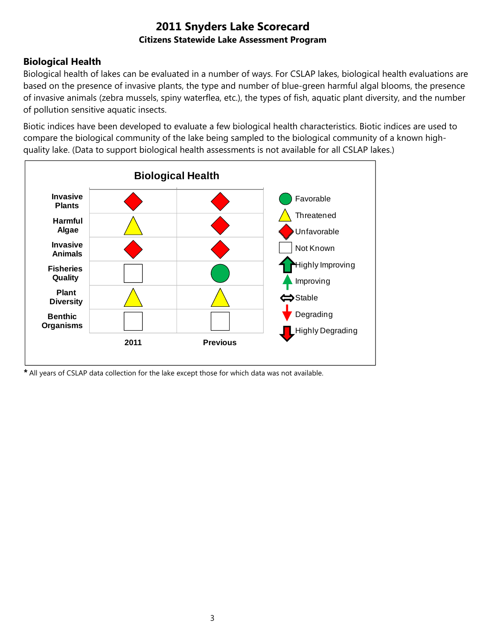# **Biological Health**

Biological health of lakes can be evaluated in a number of ways. For CSLAP lakes, biological health evaluations are based on the presence of invasive plants, the type and number of blue-green harmful algal blooms, the presence of invasive animals (zebra mussels, spiny waterflea, etc.), the types of fish, aquatic plant diversity, and the number of pollution sensitive aquatic insects.

Biotic indices have been developed to evaluate a few biological health characteristics. Biotic indices are used to compare the biological community of the lake being sampled to the biological community of a known highquality lake. (Data to support biological health assessments is not available for all CSLAP lakes.)



*\** All years of CSLAP data collection for the lake except those for which data was not available.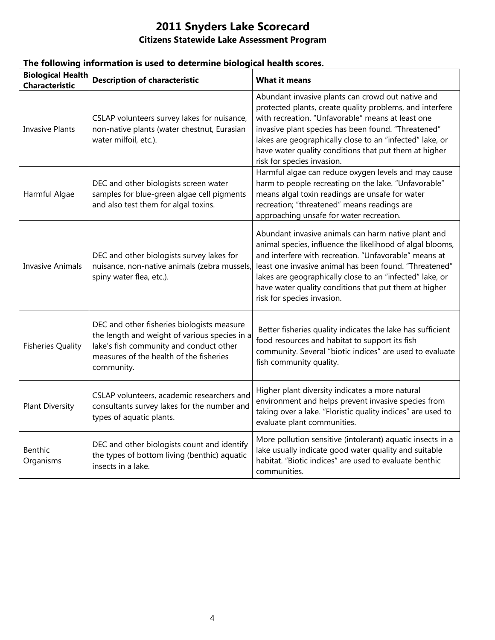| <b>Biological Health</b><br><b>Characteristic</b> | <b>Description of characteristic</b>                                                                                                                                                            | <b>What it means</b>                                                                                                                                                                                                                                                                                                                                                                   |
|---------------------------------------------------|-------------------------------------------------------------------------------------------------------------------------------------------------------------------------------------------------|----------------------------------------------------------------------------------------------------------------------------------------------------------------------------------------------------------------------------------------------------------------------------------------------------------------------------------------------------------------------------------------|
| <b>Invasive Plants</b>                            | CSLAP volunteers survey lakes for nuisance,<br>non-native plants (water chestnut, Eurasian<br>water milfoil, etc.).                                                                             | Abundant invasive plants can crowd out native and<br>protected plants, create quality problems, and interfere<br>with recreation. "Unfavorable" means at least one<br>invasive plant species has been found. "Threatened"<br>lakes are geographically close to an "infected" lake, or<br>have water quality conditions that put them at higher<br>risk for species invasion.           |
| Harmful Algae                                     | DEC and other biologists screen water<br>samples for blue-green algae cell pigments<br>and also test them for algal toxins.                                                                     | Harmful algae can reduce oxygen levels and may cause<br>harm to people recreating on the lake. "Unfavorable"<br>means algal toxin readings are unsafe for water<br>recreation; "threatened" means readings are<br>approaching unsafe for water recreation.                                                                                                                             |
| <b>Invasive Animals</b>                           | DEC and other biologists survey lakes for<br>nuisance, non-native animals (zebra mussels,<br>spiny water flea, etc.).                                                                           | Abundant invasive animals can harm native plant and<br>animal species, influence the likelihood of algal blooms,<br>and interfere with recreation. "Unfavorable" means at<br>least one invasive animal has been found. "Threatened"<br>lakes are geographically close to an "infected" lake, or<br>have water quality conditions that put them at higher<br>risk for species invasion. |
| <b>Fisheries Quality</b>                          | DEC and other fisheries biologists measure<br>the length and weight of various species in a<br>lake's fish community and conduct other<br>measures of the health of the fisheries<br>community. | Better fisheries quality indicates the lake has sufficient<br>food resources and habitat to support its fish<br>community. Several "biotic indices" are used to evaluate<br>fish community quality.                                                                                                                                                                                    |
| <b>Plant Diversity</b>                            | CSLAP volunteers, academic researchers and<br>consultants survey lakes for the number and<br>types of aquatic plants.                                                                           | Higher plant diversity indicates a more natural<br>environment and helps prevent invasive species from<br>taking over a lake. "Floristic quality indices" are used to<br>evaluate plant communities.                                                                                                                                                                                   |
| <b>Benthic</b><br>Organisms                       | DEC and other biologists count and identify<br>the types of bottom living (benthic) aquatic<br>insects in a lake.                                                                               | More pollution sensitive (intolerant) aquatic insects in a<br>lake usually indicate good water quality and suitable<br>habitat. "Biotic indices" are used to evaluate benthic<br>communities.                                                                                                                                                                                          |

## **The following information is used to determine biological health scores.**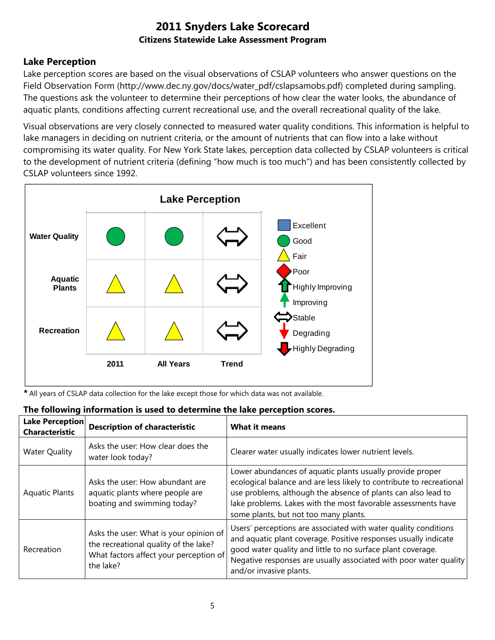## **Lake Perception**

Lake perception scores are based on the visual observations of CSLAP volunteers who answer questions on the Field Observation Form (http://www.dec.ny.gov/docs/water\_pdf/cslapsamobs.pdf) completed during sampling. The questions ask the volunteer to determine their perceptions of how clear the water looks, the abundance of aquatic plants, conditions affecting current recreational use, and the overall recreational quality of the lake.

Visual observations are very closely connected to measured water quality conditions. This information is helpful to lake managers in deciding on nutrient criteria, or the amount of nutrients that can flow into a lake without compromising its water quality. For New York State lakes, perception data collected by CSLAP volunteers is critical to the development of nutrient criteria (defining "how much is too much") and has been consistently collected by CSLAP volunteers since 1992.



*\** All years of CSLAP data collection for the lake except those for which data was not available.

| Lake Perception<br><b>Characteristic</b> | <b>Description of characteristic</b>                                                                                                   | <b>What it means</b>                                                                                                                                                                                                                                                                                         |
|------------------------------------------|----------------------------------------------------------------------------------------------------------------------------------------|--------------------------------------------------------------------------------------------------------------------------------------------------------------------------------------------------------------------------------------------------------------------------------------------------------------|
| <b>Water Quality</b>                     | Asks the user: How clear does the<br>water look today?                                                                                 | Clearer water usually indicates lower nutrient levels.                                                                                                                                                                                                                                                       |
| <b>Aquatic Plants</b>                    | Asks the user: How abundant are<br>aquatic plants where people are<br>boating and swimming today?                                      | Lower abundances of aquatic plants usually provide proper<br>ecological balance and are less likely to contribute to recreational<br>use problems, although the absence of plants can also lead to<br>lake problems. Lakes with the most favorable assessments have<br>some plants, but not too many plants. |
| Recreation                               | Asks the user: What is your opinion of<br>the recreational quality of the lake?<br>What factors affect your perception of<br>the lake? | Users' perceptions are associated with water quality conditions<br>and aquatic plant coverage. Positive responses usually indicate<br>good water quality and little to no surface plant coverage.<br>Negative responses are usually associated with poor water quality<br>and/or invasive plants.            |

#### **The following information is used to determine the lake perception scores.**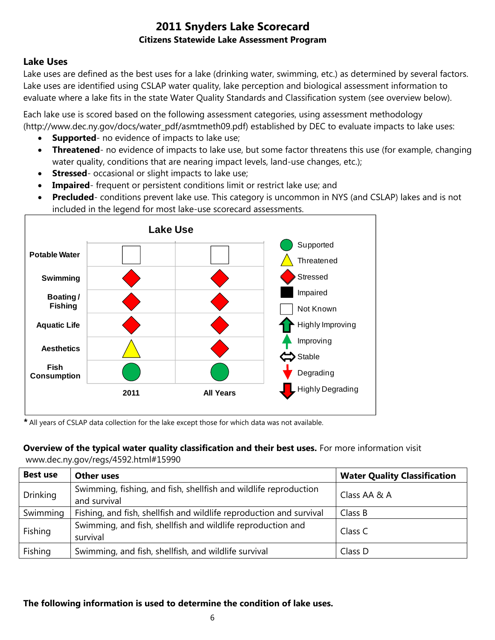## **Lake Uses**

Lake uses are defined as the best uses for a lake (drinking water, swimming, etc.) as determined by several factors. Lake uses are identified using CSLAP water quality, lake perception and biological assessment information to evaluate where a lake fits in the state Water Quality Standards and Classification system (see overview below).

Each lake use is scored based on the following assessment categories, using assessment methodology (http://www.dec.ny.gov/docs/water\_pdf/asmtmeth09.pdf) established by DEC to evaluate impacts to lake uses:

- **Supported** no evidence of impacts to lake use;
- **Threatened** no evidence of impacts to lake use, but some factor threatens this use (for example, changing water quality, conditions that are nearing impact levels, land-use changes, etc.);
- **Stressed** occasional or slight impacts to lake use;
- **Impaired** frequent or persistent conditions limit or restrict lake use; and
- **Precluded** conditions prevent lake use. This category is uncommon in NYS (and CSLAP) lakes and is not included in the legend for most lake-use scorecard assessments.



*\** All years of CSLAP data collection for the lake except those for which data was not available.

#### **Overview of the typical water quality classification and their best uses.** For more information visit

www.dec.ny.gov/regs/4592.html#15990

| <b>Best use</b> | <b>Other uses</b>                                                                | <b>Water Quality Classification</b> |
|-----------------|----------------------------------------------------------------------------------|-------------------------------------|
| <b>Drinking</b> | Swimming, fishing, and fish, shellfish and wildlife reproduction<br>and survival | Class AA & A                        |
| Swimming        | Fishing, and fish, shellfish and wildlife reproduction and survival              | Class B                             |
| Fishing         | Swimming, and fish, shellfish and wildlife reproduction and<br>survival          | Class C                             |
| Fishing         | Swimming, and fish, shellfish, and wildlife survival                             | Class D                             |

#### **The following information is used to determine the condition of lake uses.**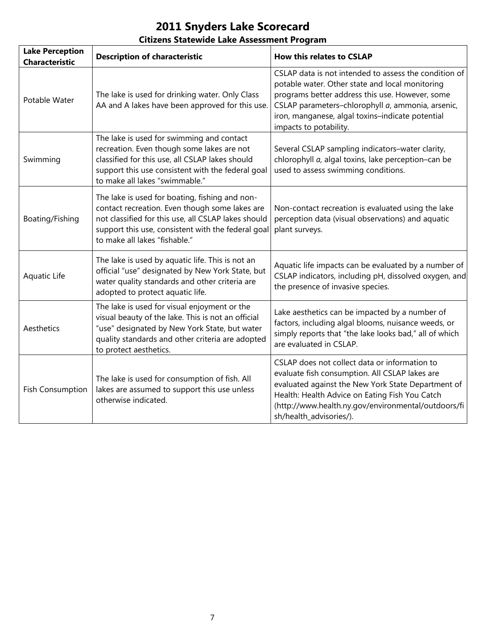# **2011 Snyders Lake Scorecard**

## **Citizens Statewide Lake Assessment Program**

| <b>Lake Perception</b><br><b>Characteristic</b> | <b>Description of characteristic</b>                                                                                                                                                                                                           | <b>How this relates to CSLAP</b>                                                                                                                                                                                                                                                               |
|-------------------------------------------------|------------------------------------------------------------------------------------------------------------------------------------------------------------------------------------------------------------------------------------------------|------------------------------------------------------------------------------------------------------------------------------------------------------------------------------------------------------------------------------------------------------------------------------------------------|
| Potable Water                                   | The lake is used for drinking water. Only Class<br>AA and A lakes have been approved for this use.                                                                                                                                             | CSLAP data is not intended to assess the condition of<br>potable water. Other state and local monitoring<br>programs better address this use. However, some<br>CSLAP parameters-chlorophyll a, ammonia, arsenic,<br>iron, manganese, algal toxins-indicate potential<br>impacts to potability. |
| Swimming                                        | The lake is used for swimming and contact<br>recreation. Even though some lakes are not<br>classified for this use, all CSLAP lakes should<br>support this use consistent with the federal goal<br>to make all lakes "swimmable."              | Several CSLAP sampling indicators-water clarity,<br>chlorophyll a, algal toxins, lake perception-can be<br>used to assess swimming conditions.                                                                                                                                                 |
| Boating/Fishing                                 | The lake is used for boating, fishing and non-<br>contact recreation. Even though some lakes are<br>not classified for this use, all CSLAP lakes should<br>support this use, consistent with the federal goal<br>to make all lakes "fishable." | Non-contact recreation is evaluated using the lake<br>perception data (visual observations) and aquatic<br>plant surveys.                                                                                                                                                                      |
| Aquatic Life                                    | The lake is used by aquatic life. This is not an<br>official "use" designated by New York State, but<br>water quality standards and other criteria are<br>adopted to protect aquatic life.                                                     | Aquatic life impacts can be evaluated by a number of<br>CSLAP indicators, including pH, dissolved oxygen, and<br>the presence of invasive species.                                                                                                                                             |
| Aesthetics                                      | The lake is used for visual enjoyment or the<br>visual beauty of the lake. This is not an official<br>"use" designated by New York State, but water<br>quality standards and other criteria are adopted<br>to protect aesthetics.              | Lake aesthetics can be impacted by a number of<br>factors, including algal blooms, nuisance weeds, or<br>simply reports that "the lake looks bad," all of which<br>are evaluated in CSLAP.                                                                                                     |
| <b>Fish Consumption</b>                         | The lake is used for consumption of fish. All<br>lakes are assumed to support this use unless<br>otherwise indicated.                                                                                                                          | CSLAP does not collect data or information to<br>evaluate fish consumption. All CSLAP lakes are<br>evaluated against the New York State Department of<br>Health: Health Advice on Eating Fish You Catch<br>(http://www.health.ny.gov/environmental/outdoors/fi<br>sh/health_advisories/).      |